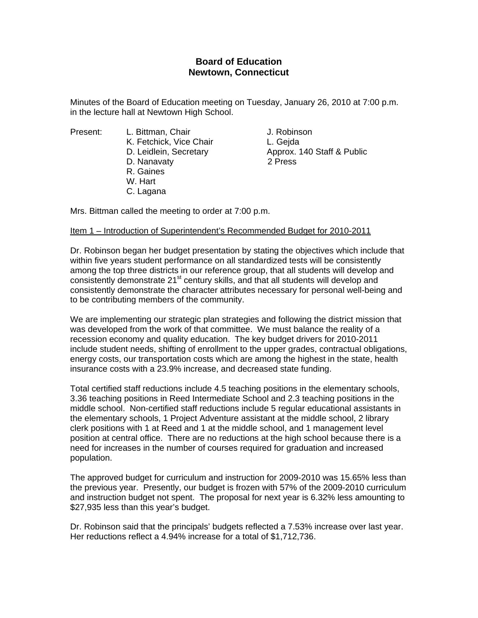# **Board of Education Newtown, Connecticut**

Minutes of the Board of Education meeting on Tuesday, January 26, 2010 at 7:00 p.m. in the lecture hall at Newtown High School.

- K. Fetchick, Vice Chair **L. Geida**  D. Nanavaty 2 Press R. Gaines
- W. Hart
- C. Lagana

Present: L. Bittman, Chair Chair J. Robinson D. Leidlein, Secretary **Approx.** 140 Staff & Public

Mrs. Bittman called the meeting to order at 7:00 p.m.

## Item 1 – Introduction of Superintendent's Recommended Budget for 2010-2011

Dr. Robinson began her budget presentation by stating the objectives which include that within five years student performance on all standardized tests will be consistently among the top three districts in our reference group, that all students will develop and consistently demonstrate 21<sup>st</sup> century skills, and that all students will develop and consistently demonstrate the character attributes necessary for personal well-being and to be contributing members of the community.

We are implementing our strategic plan strategies and following the district mission that was developed from the work of that committee. We must balance the reality of a recession economy and quality education. The key budget drivers for 2010-2011 include student needs, shifting of enrollment to the upper grades, contractual obligations, energy costs, our transportation costs which are among the highest in the state, health insurance costs with a 23.9% increase, and decreased state funding.

Total certified staff reductions include 4.5 teaching positions in the elementary schools, 3.36 teaching positions in Reed Intermediate School and 2.3 teaching positions in the middle school. Non-certified staff reductions include 5 regular educational assistants in the elementary schools, 1 Project Adventure assistant at the middle school, 2 library clerk positions with 1 at Reed and 1 at the middle school, and 1 management level position at central office. There are no reductions at the high school because there is a need for increases in the number of courses required for graduation and increased population.

The approved budget for curriculum and instruction for 2009-2010 was 15.65% less than the previous year. Presently, our budget is frozen with 57% of the 2009-2010 curriculum and instruction budget not spent. The proposal for next year is 6.32% less amounting to \$27,935 less than this year's budget.

Dr. Robinson said that the principals' budgets reflected a 7.53% increase over last year. Her reductions reflect a 4.94% increase for a total of \$1,712,736.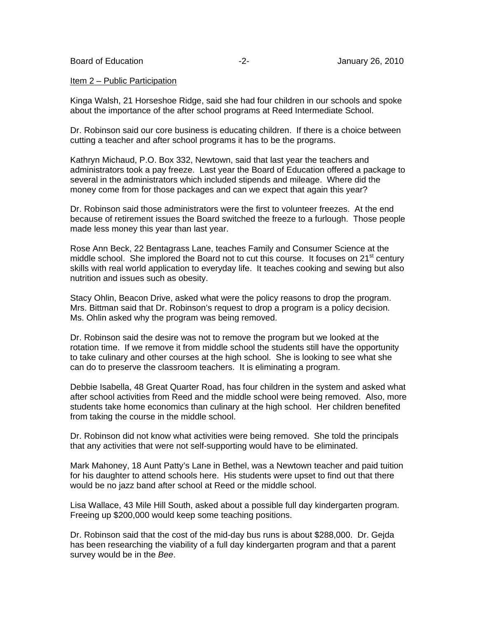Board of Education **-2-** Figure 26, 2010

#### Item 2 – Public Participation

Kinga Walsh, 21 Horseshoe Ridge, said she had four children in our schools and spoke about the importance of the after school programs at Reed Intermediate School.

Dr. Robinson said our core business is educating children. If there is a choice between cutting a teacher and after school programs it has to be the programs.

Kathryn Michaud, P.O. Box 332, Newtown, said that last year the teachers and administrators took a pay freeze. Last year the Board of Education offered a package to several in the administrators which included stipends and mileage. Where did the money come from for those packages and can we expect that again this year?

Dr. Robinson said those administrators were the first to volunteer freezes. At the end because of retirement issues the Board switched the freeze to a furlough. Those people made less money this year than last year.

Rose Ann Beck, 22 Bentagrass Lane, teaches Family and Consumer Science at the middle school. She implored the Board not to cut this course. It focuses on  $21<sup>st</sup>$  century skills with real world application to everyday life. It teaches cooking and sewing but also nutrition and issues such as obesity.

Stacy Ohlin, Beacon Drive, asked what were the policy reasons to drop the program. Mrs. Bittman said that Dr. Robinson's request to drop a program is a policy decision. Ms. Ohlin asked why the program was being removed.

Dr. Robinson said the desire was not to remove the program but we looked at the rotation time. If we remove it from middle school the students still have the opportunity to take culinary and other courses at the high school. She is looking to see what she can do to preserve the classroom teachers. It is eliminating a program.

Debbie Isabella, 48 Great Quarter Road, has four children in the system and asked what after school activities from Reed and the middle school were being removed. Also, more students take home economics than culinary at the high school. Her children benefited from taking the course in the middle school.

Dr. Robinson did not know what activities were being removed. She told the principals that any activities that were not self-supporting would have to be eliminated.

Mark Mahoney, 18 Aunt Patty's Lane in Bethel, was a Newtown teacher and paid tuition for his daughter to attend schools here. His students were upset to find out that there would be no jazz band after school at Reed or the middle school.

Lisa Wallace, 43 Mile Hill South, asked about a possible full day kindergarten program. Freeing up \$200,000 would keep some teaching positions.

Dr. Robinson said that the cost of the mid-day bus runs is about \$288,000. Dr. Gejda has been researching the viability of a full day kindergarten program and that a parent survey would be in the *Bee*.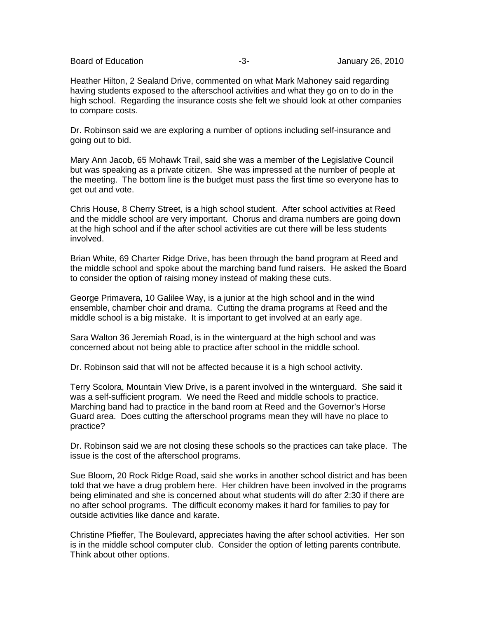Board of Education **-3-** Figure 26, 2010 **-3-** January 26, 2010

Heather Hilton, 2 Sealand Drive, commented on what Mark Mahoney said regarding having students exposed to the afterschool activities and what they go on to do in the high school. Regarding the insurance costs she felt we should look at other companies to compare costs.

Dr. Robinson said we are exploring a number of options including self-insurance and going out to bid.

Mary Ann Jacob, 65 Mohawk Trail, said she was a member of the Legislative Council but was speaking as a private citizen. She was impressed at the number of people at the meeting. The bottom line is the budget must pass the first time so everyone has to get out and vote.

Chris House, 8 Cherry Street, is a high school student. After school activities at Reed and the middle school are very important. Chorus and drama numbers are going down at the high school and if the after school activities are cut there will be less students involved.

Brian White, 69 Charter Ridge Drive, has been through the band program at Reed and the middle school and spoke about the marching band fund raisers. He asked the Board to consider the option of raising money instead of making these cuts.

George Primavera, 10 Galilee Way, is a junior at the high school and in the wind ensemble, chamber choir and drama. Cutting the drama programs at Reed and the middle school is a big mistake. It is important to get involved at an early age.

Sara Walton 36 Jeremiah Road, is in the winterguard at the high school and was concerned about not being able to practice after school in the middle school.

Dr. Robinson said that will not be affected because it is a high school activity.

Terry Scolora, Mountain View Drive, is a parent involved in the winterguard. She said it was a self-sufficient program. We need the Reed and middle schools to practice. Marching band had to practice in the band room at Reed and the Governor's Horse Guard area. Does cutting the afterschool programs mean they will have no place to practice?

Dr. Robinson said we are not closing these schools so the practices can take place. The issue is the cost of the afterschool programs.

Sue Bloom, 20 Rock Ridge Road, said she works in another school district and has been told that we have a drug problem here. Her children have been involved in the programs being eliminated and she is concerned about what students will do after 2:30 if there are no after school programs. The difficult economy makes it hard for families to pay for outside activities like dance and karate.

Christine Pfieffer, The Boulevard, appreciates having the after school activities. Her son is in the middle school computer club. Consider the option of letting parents contribute. Think about other options.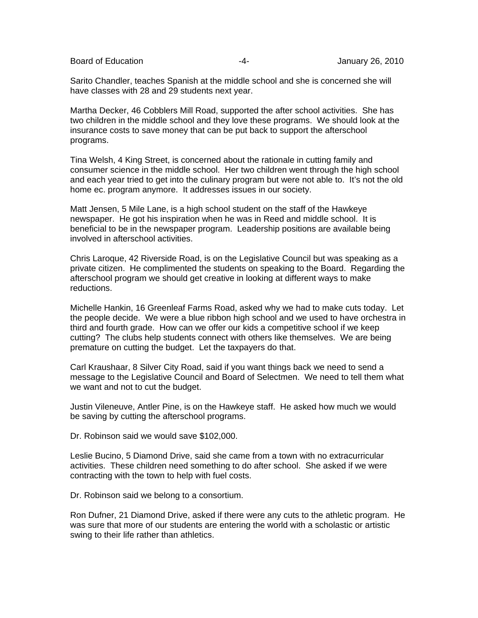Board of Education **-4-** Figure 26, 2010 **-4-** All anuary 26, 2010

Sarito Chandler, teaches Spanish at the middle school and she is concerned she will have classes with 28 and 29 students next year.

Martha Decker, 46 Cobblers Mill Road, supported the after school activities. She has two children in the middle school and they love these programs. We should look at the insurance costs to save money that can be put back to support the afterschool programs.

Tina Welsh, 4 King Street, is concerned about the rationale in cutting family and consumer science in the middle school. Her two children went through the high school and each year tried to get into the culinary program but were not able to. It's not the old home ec. program anymore. It addresses issues in our society.

Matt Jensen, 5 Mile Lane, is a high school student on the staff of the Hawkeye newspaper. He got his inspiration when he was in Reed and middle school. It is beneficial to be in the newspaper program. Leadership positions are available being involved in afterschool activities.

Chris Laroque, 42 Riverside Road, is on the Legislative Council but was speaking as a private citizen. He complimented the students on speaking to the Board. Regarding the afterschool program we should get creative in looking at different ways to make reductions.

Michelle Hankin, 16 Greenleaf Farms Road, asked why we had to make cuts today. Let the people decide. We were a blue ribbon high school and we used to have orchestra in third and fourth grade. How can we offer our kids a competitive school if we keep cutting? The clubs help students connect with others like themselves. We are being premature on cutting the budget. Let the taxpayers do that.

Carl Kraushaar, 8 Silver City Road, said if you want things back we need to send a message to the Legislative Council and Board of Selectmen. We need to tell them what we want and not to cut the budget.

Justin Vileneuve, Antler Pine, is on the Hawkeye staff. He asked how much we would be saving by cutting the afterschool programs.

Dr. Robinson said we would save \$102,000.

Leslie Bucino, 5 Diamond Drive, said she came from a town with no extracurricular activities. These children need something to do after school. She asked if we were contracting with the town to help with fuel costs.

Dr. Robinson said we belong to a consortium.

Ron Dufner, 21 Diamond Drive, asked if there were any cuts to the athletic program. He was sure that more of our students are entering the world with a scholastic or artistic swing to their life rather than athletics.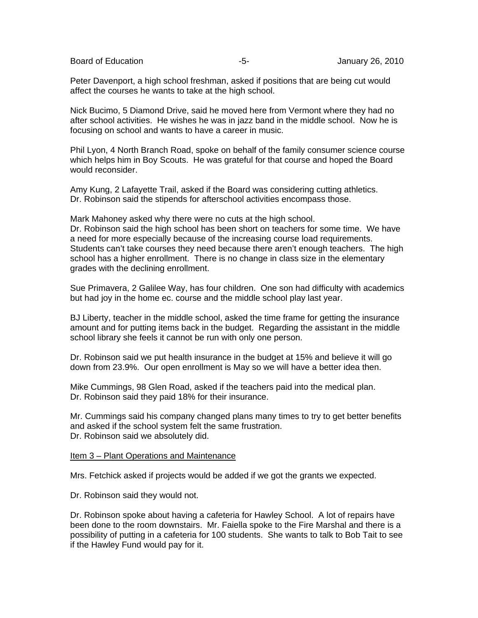Board of Education **-5-** Formulary 26, 2010

Peter Davenport, a high school freshman, asked if positions that are being cut would affect the courses he wants to take at the high school.

Nick Bucimo, 5 Diamond Drive, said he moved here from Vermont where they had no after school activities. He wishes he was in jazz band in the middle school. Now he is focusing on school and wants to have a career in music.

Phil Lyon, 4 North Branch Road, spoke on behalf of the family consumer science course which helps him in Boy Scouts. He was grateful for that course and hoped the Board would reconsider.

Amy Kung, 2 Lafayette Trail, asked if the Board was considering cutting athletics. Dr. Robinson said the stipends for afterschool activities encompass those.

Mark Mahoney asked why there were no cuts at the high school.

Dr. Robinson said the high school has been short on teachers for some time. We have a need for more especially because of the increasing course load requirements. Students can't take courses they need because there aren't enough teachers. The high school has a higher enrollment. There is no change in class size in the elementary grades with the declining enrollment.

Sue Primavera, 2 Galilee Way, has four children. One son had difficulty with academics but had joy in the home ec. course and the middle school play last year.

BJ Liberty, teacher in the middle school, asked the time frame for getting the insurance amount and for putting items back in the budget. Regarding the assistant in the middle school library she feels it cannot be run with only one person.

Dr. Robinson said we put health insurance in the budget at 15% and believe it will go down from 23.9%. Our open enrollment is May so we will have a better idea then.

Mike Cummings, 98 Glen Road, asked if the teachers paid into the medical plan. Dr. Robinson said they paid 18% for their insurance.

Mr. Cummings said his company changed plans many times to try to get better benefits and asked if the school system felt the same frustration. Dr. Robinson said we absolutely did.

### Item 3 – Plant Operations and Maintenance

Mrs. Fetchick asked if projects would be added if we got the grants we expected.

Dr. Robinson said they would not.

Dr. Robinson spoke about having a cafeteria for Hawley School. A lot of repairs have been done to the room downstairs. Mr. Faiella spoke to the Fire Marshal and there is a possibility of putting in a cafeteria for 100 students. She wants to talk to Bob Tait to see if the Hawley Fund would pay for it.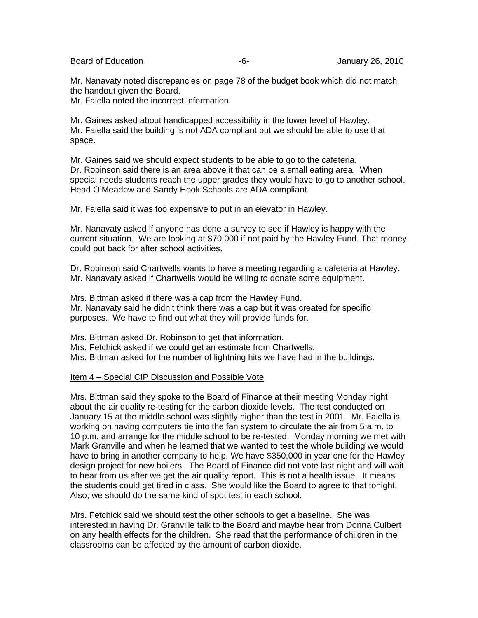Board of Education **-6-** Figure 26, 2010 **-6-** Figure 26, 2010

Mr. Nanavaty noted discrepancies on page 78 of the budget book which did not match the handout given the Board.

Mr. Faiella noted the incorrect information.

Mr. Gaines asked about handicapped accessibility in the lower level of Hawley. Mr. Faiella said the building is not ADA compliant but we should be able to use that space.

Mr. Gaines said we should expect students to be able to go to the cafeteria. Dr. Robinson said there is an area above it that can be a small eating area. When special needs students reach the upper grades they would have to go to another school. Head O'Meadow and Sandy Hook Schools are ADA compliant.

Mr. Faiella said it was too expensive to put in an elevator in Hawley.

Mr. Nanavaty asked if anyone has done a survey to see if Hawley is happy with the current situation. We are looking at \$70,000 if not paid by the Hawley Fund. That money could put back for after school activities.

Dr. Robinson said Chartwells wants to have a meeting regarding a cafeteria at Hawley. Mr. Nanavaty asked if Chartwells would be willing to donate some equipment.

Mrs. Bittman asked if there was a cap from the Hawley Fund. Mr. Nanavaty said he didn't think there was a cap but it was created for specific purposes. We have to find out what they will provide funds for.

Mrs. Bittman asked Dr. Robinson to get that information.

Mrs. Fetchick asked if we could get an estimate from Chartwells.

Mrs. Bittman asked for the number of lightning hits we have had in the buildings.

## Item 4 – Special CIP Discussion and Possible Vote

Mrs. Bittman said they spoke to the Board of Finance at their meeting Monday night about the air quality re-testing for the carbon dioxide levels. The test conducted on January 15 at the middle school was slightly higher than the test in 2001. Mr. Faiella is working on having computers tie into the fan system to circulate the air from 5 a.m. to 10 p.m. and arrange for the middle school to be re-tested. Monday morning we met with Mark Granville and when he learned that we wanted to test the whole building we would have to bring in another company to help. We have \$350,000 in year one for the Hawley design project for new boilers. The Board of Finance did not vote last night and will wait to hear from us after we get the air quality report. This is not a health issue. It means the students could get tired in class. She would like the Board to agree to that tonight. Also, we should do the same kind of spot test in each school.

Mrs. Fetchick said we should test the other schools to get a baseline. She was interested in having Dr. Granville talk to the Board and maybe hear from Donna Culbert on any health effects for the children. She read that the performance of children in the classrooms can be affected by the amount of carbon dioxide.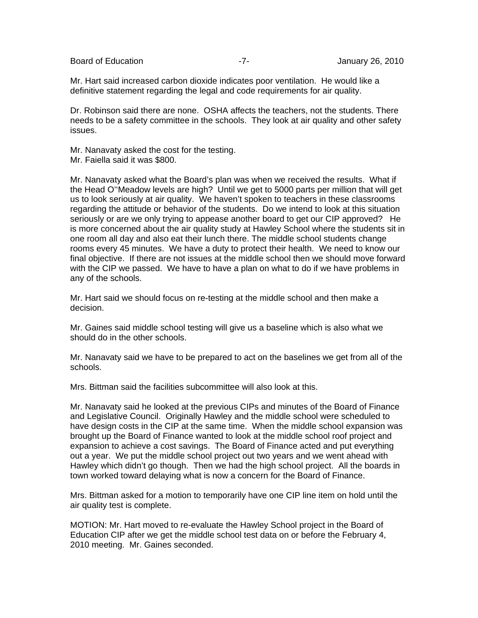Board of Education **Contract Contract Contract Contract Contract Contract Contract Contract Contract Contract Contract Contract Contract Contract Contract Contract Contract Contract Contract Contract Contract Contract Cont** 

Mr. Hart said increased carbon dioxide indicates poor ventilation. He would like a definitive statement regarding the legal and code requirements for air quality.

Dr. Robinson said there are none. OSHA affects the teachers, not the students. There needs to be a safety committee in the schools. They look at air quality and other safety issues.

Mr. Nanavaty asked the cost for the testing.

Mr. Faiella said it was \$800.

Mr. Nanavaty asked what the Board's plan was when we received the results. What if the Head O''Meadow levels are high? Until we get to 5000 parts per million that will get us to look seriously at air quality. We haven't spoken to teachers in these classrooms regarding the attitude or behavior of the students. Do we intend to look at this situation seriously or are we only trying to appease another board to get our CIP approved? He is more concerned about the air quality study at Hawley School where the students sit in one room all day and also eat their lunch there. The middle school students change rooms every 45 minutes. We have a duty to protect their health. We need to know our final objective. If there are not issues at the middle school then we should move forward with the CIP we passed. We have to have a plan on what to do if we have problems in any of the schools.

Mr. Hart said we should focus on re-testing at the middle school and then make a decision.

Mr. Gaines said middle school testing will give us a baseline which is also what we should do in the other schools.

Mr. Nanavaty said we have to be prepared to act on the baselines we get from all of the schools.

Mrs. Bittman said the facilities subcommittee will also look at this.

Mr. Nanavaty said he looked at the previous CIPs and minutes of the Board of Finance and Legislative Council. Originally Hawley and the middle school were scheduled to have design costs in the CIP at the same time. When the middle school expansion was brought up the Board of Finance wanted to look at the middle school roof project and expansion to achieve a cost savings. The Board of Finance acted and put everything out a year. We put the middle school project out two years and we went ahead with Hawley which didn't go though. Then we had the high school project. All the boards in town worked toward delaying what is now a concern for the Board of Finance.

Mrs. Bittman asked for a motion to temporarily have one CIP line item on hold until the air quality test is complete.

MOTION: Mr. Hart moved to re-evaluate the Hawley School project in the Board of Education CIP after we get the middle school test data on or before the February 4, 2010 meeting. Mr. Gaines seconded.